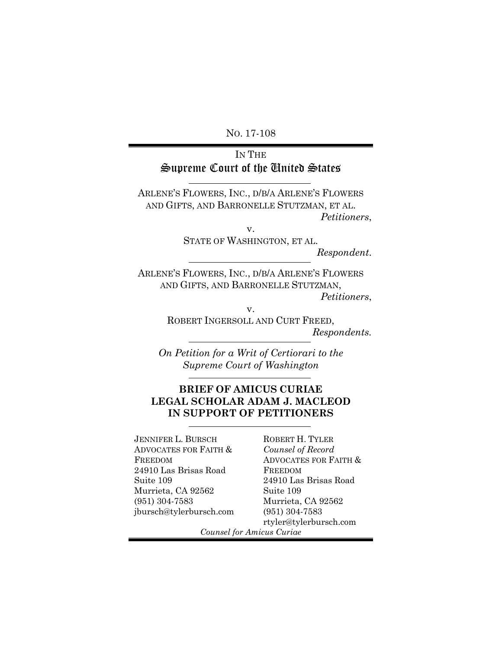NO. 17-108

# IN THE Supreme Court of the United States

ARLENE'S FLOWERS, INC., D/B/A ARLENE'S FLOWERS AND GIFTS, AND BARRONELLE STUTZMAN, ET AL. *Petitioners*,

v.

STATE OF WASHINGTON, ET AL.

*Respondent*.

ARLENE'S FLOWERS, INC., D/B/A ARLENE'S FLOWERS AND GIFTS, AND BARRONELLE STUTZMAN,

*Petitioners*,

v.

ROBERT INGERSOLL AND CURT FREED, *Respondents.*

*On Petition for a Writ of Certiorari to the Supreme Court of Washington*

## **BRIEF OF AMICUS CURIAE LEGAL SCHOLAR ADAM J. MACLEOD IN SUPPORT OF PETITIONERS**

JENNIFER L. BURSCH ADVOCATES FOR FAITH & FREEDOM 24910 Las Brisas Road Suite 109 Murrieta, CA 92562 (951) 304-7583 jbursch@tylerbursch.com ROBERT H. TYLER *Counsel of Record* ADVOCATES FOR FAITH & FREEDOM 24910 Las Brisas Road Suite 109 Murrieta, CA 92562 (951) 304-7583 rtyler@tylerbursch.com

*Counsel for Amicus Curiae*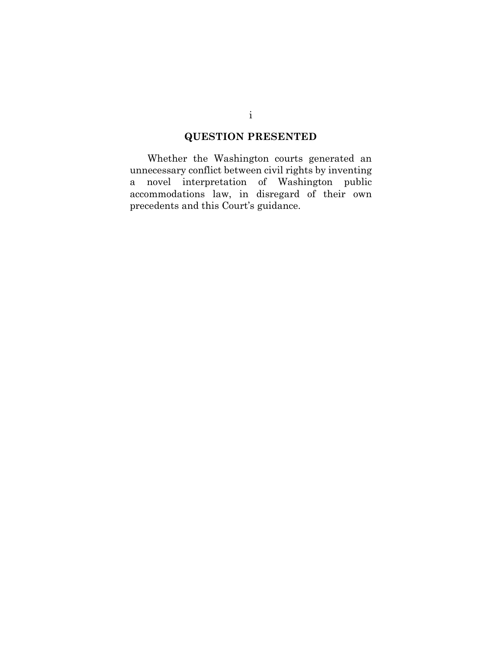# **QUESTION PRESENTED**

<span id="page-1-0"></span>Whether the Washington courts generated an unnecessary conflict between civil rights by inventing a novel interpretation of Washington public accommodations law, in disregard of their own precedents and this Court's guidance.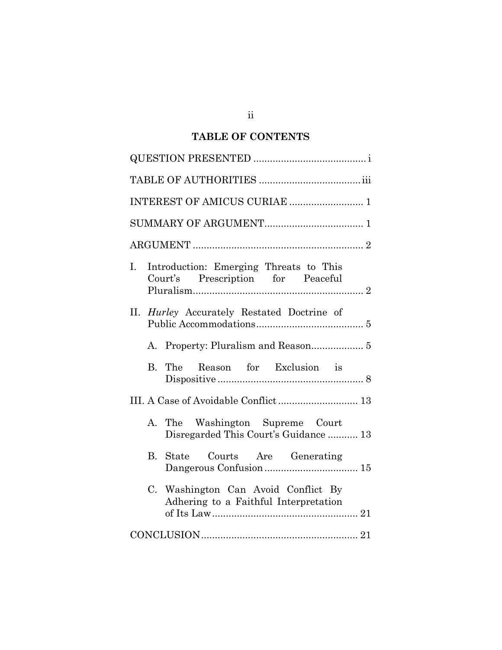# **TABLE OF CONTENTS**

| Introduction: Emerging Threats to This<br>Ι.<br>Court's Prescription for Peaceful |
|-----------------------------------------------------------------------------------|
| II. Hurley Accurately Restated Doctrine of                                        |
|                                                                                   |
| The Reason for Exclusion is<br>В.                                                 |
| III. A Case of Avoidable Conflict 13                                              |
| A. The Washington Supreme Court<br>Disregarded This Court's Guidance  13          |
| State Courts Are Generating<br>B.                                                 |
| C. Washington Can Avoid Conflict By<br>Adhering to a Faithful Interpretation      |
|                                                                                   |

ii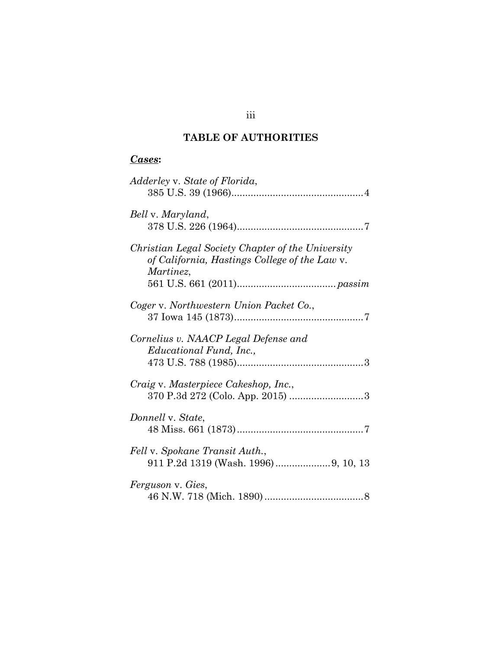# **TABLE OF AUTHORITIES**

# <span id="page-3-0"></span>*Cases***:**

| Adderley v. State of Florida,                                                                                   |
|-----------------------------------------------------------------------------------------------------------------|
| Bell v. Maryland,                                                                                               |
| Christian Legal Society Chapter of the University<br>of California, Hastings College of the Law v.<br>Martinez, |
| Coger v. Northwestern Union Packet Co.,                                                                         |
| Cornelius v. NAACP Legal Defense and<br><i>Educational Fund, Inc.,</i>                                          |
| Craig v. Masterpiece Cakeshop, Inc.,                                                                            |
| Donnell v. State,                                                                                               |
| Fell v. Spokane Transit Auth.,                                                                                  |
| Ferguson v. Gies,                                                                                               |

## iii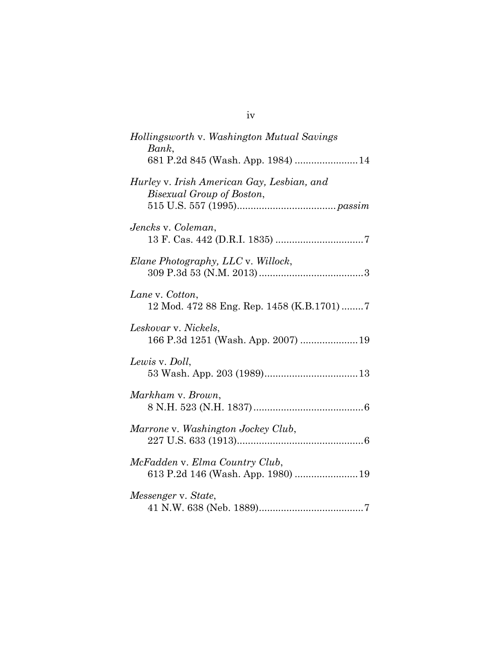| Hollingsworth v. Washington Mutual Savings<br>Bank,<br>681 P.2d 845 (Wash. App. 1984)  14 |
|-------------------------------------------------------------------------------------------|
| Hurley v. Irish American Gay, Lesbian, and<br>Bisexual Group of Boston,                   |
| Jencks v. Coleman,                                                                        |
| Elane Photography, LLC v. Willock,                                                        |
| Lane v. Cotton,<br>12 Mod. 472 88 Eng. Rep. 1458 (K.B.1701) 7                             |
| Leskovar v. Nickels,<br>166 P.3d 1251 (Wash. App. 2007)  19                               |
| Lewis v. Doll,                                                                            |
| Markham v. Brown,                                                                         |
| Marrone v. Washington Jockey Club,                                                        |
| McFadden v. Elma Country Club,<br>613 P.2d 146 (Wash. App. 1980)  19                      |
| Messenger v. State,                                                                       |

iv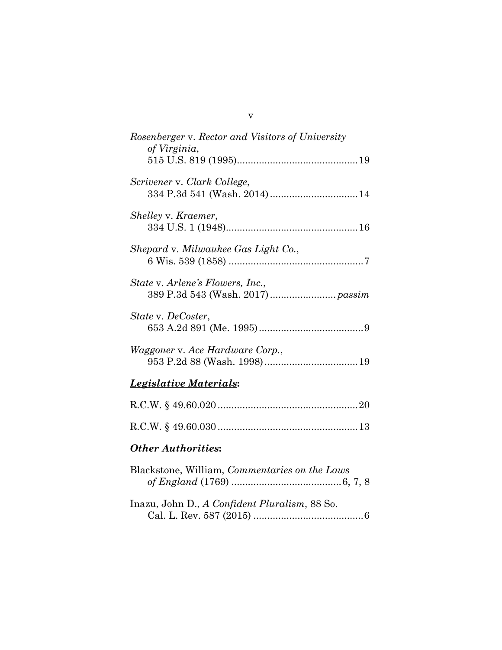| Rosenberger v. Rector and Visitors of University<br>of Virginia, |
|------------------------------------------------------------------|
| Scrivener v. Clark College,                                      |
| Shelley v. Kraemer,                                              |
| Shepard v. Milwaukee Gas Light Co.,                              |
| <i>State v. Arlene's Flowers, Inc.,</i>                          |
| State v. DeCoster,                                               |
| <i>Waggoner v. Ace Hardware Corp.,</i>                           |

# *Legislative Materials***:**

# *Other Authorities***:**

| Blackstone, William, <i>Commentaries</i> on the Laws |
|------------------------------------------------------|
|                                                      |
|                                                      |
| Inazu, John D., A Confident Pluralism, 88 So.        |
|                                                      |

v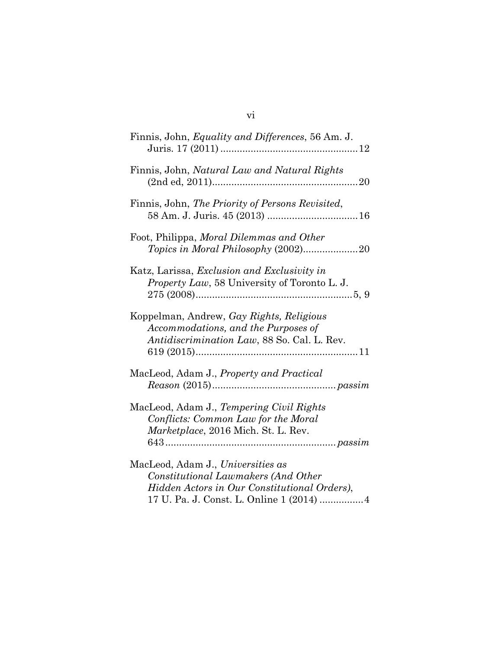## vi

| Finnis, John, Equality and Differences, 56 Am. J.                                                                              |
|--------------------------------------------------------------------------------------------------------------------------------|
| Finnis, John, Natural Law and Natural Rights                                                                                   |
| Finnis, John, The Priority of Persons Revisited,                                                                               |
| Foot, Philippa, Moral Dilemmas and Other                                                                                       |
| Katz, Larissa, <i>Exclusion and Exclusivity in</i><br><i>Property Law</i> , 58 University of Toronto L. J.                     |
| Koppelman, Andrew, Gay Rights, Religious<br>Accommodations, and the Purposes of<br>Antidiscrimination Law, 88 So. Cal. L. Rev. |
| MacLeod, Adam J., Property and Practical                                                                                       |
| MacLeod, Adam J., Tempering Civil Rights<br>Conflicts: Common Law for the Moral<br>Marketplace, 2016 Mich. St. L. Rev.         |
| MacLeod, Adam J., Universities as                                                                                              |
| Constitutional Lawmakers (And Other                                                                                            |
| Hidden Actors in Our Constitutional Orders),                                                                                   |

17 U. Pa. J. Const. L. Online 1 (2014) ................4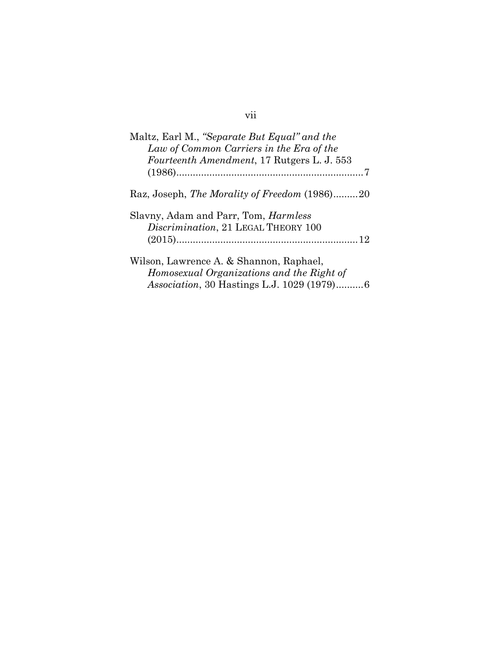| Maltz, Earl M., "Separate But Equal" and the<br>Law of Common Carriers in the Era of the<br>Fourteenth Amendment, 17 Rutgers L. J. 553 |
|----------------------------------------------------------------------------------------------------------------------------------------|
|                                                                                                                                        |
| Raz, Joseph, The Morality of Freedom (1986)20                                                                                          |
| Slavny, Adam and Parr, Tom, <i>Harmless</i><br>Discrimination, 21 LEGAL THEORY 100                                                     |
| Wilson, Lawrence A. & Shannon, Raphael,<br>Homosexual Organizations and the Right of                                                   |

*Association*, 30 Hastings L.J. 1029 (1979)..........6

# vii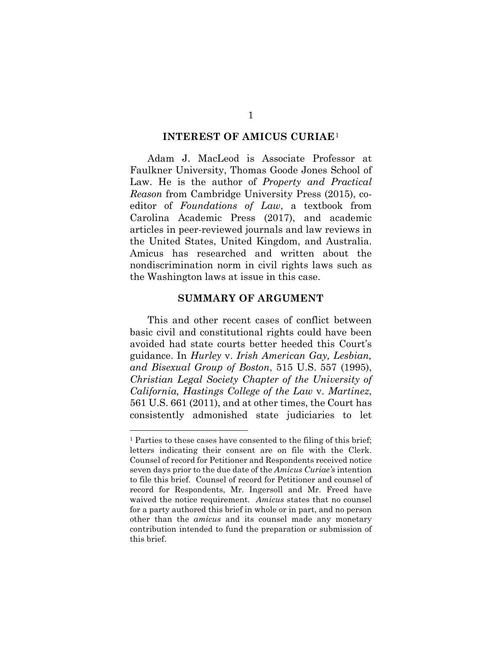#### **INTEREST OF AMICUS CURIAE**[1](#page-8-2)

<span id="page-8-0"></span>Adam J. MacLeod is Associate Professor at Faulkner University, Thomas Goode Jones School of Law. He is the author of *Property and Practical Reason* from Cambridge University Press (2015), coeditor of *Foundations of Law*, a textbook from Carolina Academic Press (2017), and academic articles in peer-reviewed journals and law reviews in the United States, United Kingdom, and Australia. Amicus has researched and written about the nondiscrimination norm in civil rights laws such as the Washington laws at issue in this case.

#### **SUMMARY OF ARGUMENT**

<span id="page-8-1"></span>This and other recent cases of conflict between basic civil and constitutional rights could have been avoided had state courts better heeded this Court's guidance. In *Hurley* v. *Irish American Gay, Lesbian, and Bisexual Group of Boston*, 515 U.S. 557 (1995), *Christian Legal Society Chapter of the University of California, Hastings College of the Law* v. *Martinez*, 561 U.S. 661 (2011), and at other times, the Court has consistently admonished state judiciaries to let

<span id="page-8-2"></span><sup>&</sup>lt;sup>1</sup> Parties to these cases have consented to the filing of this brief; letters indicating their consent are on file with the Clerk. Counsel of record for Petitioner and Respondents received notice seven days prior to the due date of the *Amicus Curiae's* intention to file this brief. Counsel of record for Petitioner and counsel of record for Respondents, Mr. Ingersoll and Mr. Freed have waived the notice requirement. *Amicus* states that no counsel for a party authored this brief in whole or in part, and no person other than the *amicus* and its counsel made any monetary contribution intended to fund the preparation or submission of this brief.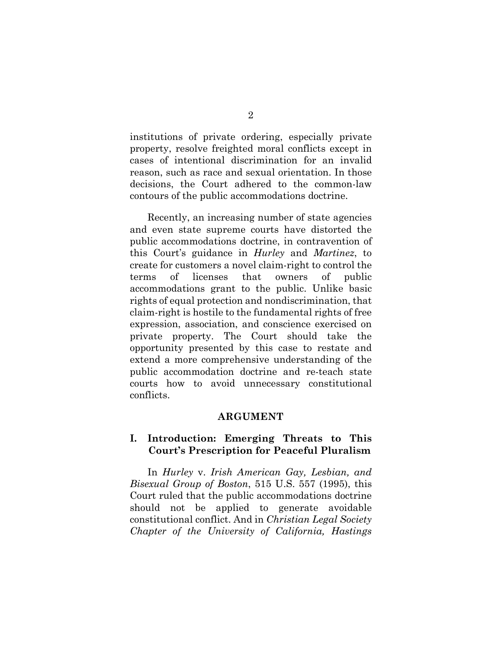institutions of private ordering, especially private property, resolve freighted moral conflicts except in cases of intentional discrimination for an invalid reason, such as race and sexual orientation. In those decisions, the Court adhered to the common-law contours of the public accommodations doctrine.

Recently, an increasing number of state agencies and even state supreme courts have distorted the public accommodations doctrine, in contravention of this Court's guidance in *Hurley* and *Martinez*, to create for customers a novel claim-right to control the terms of licenses that owners of public accommodations grant to the public. Unlike basic rights of equal protection and nondiscrimination, that claim-right is hostile to the fundamental rights of free expression, association, and conscience exercised on private property. The Court should take the opportunity presented by this case to restate and extend a more comprehensive understanding of the public accommodation doctrine and re-teach state courts how to avoid unnecessary constitutional conflicts.

#### **ARGUMENT**

### <span id="page-9-1"></span><span id="page-9-0"></span>**I. Introduction: Emerging Threats to This Court's Prescription for Peaceful Pluralism**

In *Hurley* v. *Irish American Gay, Lesbian, and Bisexual Group of Boston*, 515 U.S. 557 (1995), this Court ruled that the public accommodations doctrine should not be applied to generate avoidable constitutional conflict. And in *Christian Legal Society Chapter of the University of California, Hastings*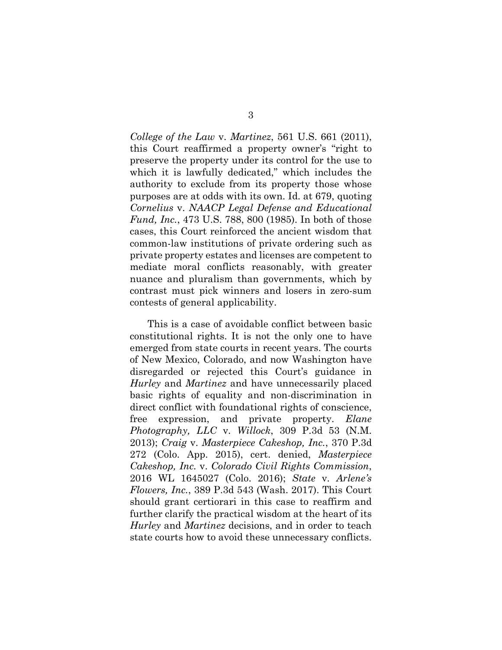*College of the Law* v. *Martinez*, 561 U.S. 661 (2011), this Court reaffirmed a property owner's "right to preserve the property under its control for the use to which it is lawfully dedicated," which includes the authority to exclude from its property those whose purposes are at odds with its own. Id. at 679, quoting *Cornelius* v. *NAACP Legal Defense and Educational Fund, Inc.*, 473 U.S. 788, 800 (1985). In both of those cases, this Court reinforced the ancient wisdom that common-law institutions of private ordering such as private property estates and licenses are competent to mediate moral conflicts reasonably, with greater nuance and pluralism than governments, which by contrast must pick winners and losers in zero-sum contests of general applicability.

This is a case of avoidable conflict between basic constitutional rights. It is not the only one to have emerged from state courts in recent years. The courts of New Mexico, Colorado, and now Washington have disregarded or rejected this Court's guidance in *Hurley* and *Martinez* and have unnecessarily placed basic rights of equality and non-discrimination in direct conflict with foundational rights of conscience, free expression, and private property. *Elane Photography, LLC* v. *Willock*, 309 P.3d 53 (N.M. 2013); *Craig* v. *Masterpiece Cakeshop, Inc.*, 370 P.3d 272 (Colo. App. 2015), cert. denied, *Masterpiece Cakeshop, Inc.* v. *Colorado Civil Rights Commission*, 2016 WL 1645027 (Colo. 2016); *State* v. *Arlene's Flowers, Inc.*, 389 P.3d 543 (Wash. 2017). This Court should grant certiorari in this case to reaffirm and further clarify the practical wisdom at the heart of its *Hurley* and *Martinez* decisions, and in order to teach state courts how to avoid these unnecessary conflicts.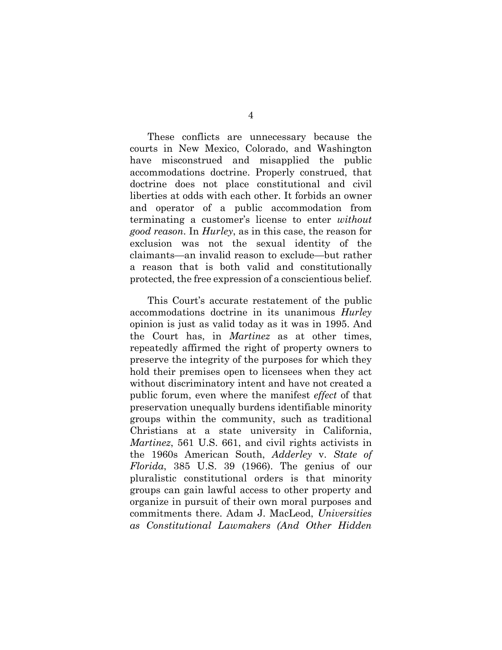These conflicts are unnecessary because the courts in New Mexico, Colorado, and Washington have misconstrued and misapplied the public accommodations doctrine. Properly construed, that doctrine does not place constitutional and civil liberties at odds with each other. It forbids an owner and operator of a public accommodation from terminating a customer's license to enter *without good reason*. In *Hurley*, as in this case, the reason for exclusion was not the sexual identity of the claimants—an invalid reason to exclude—but rather a reason that is both valid and constitutionally protected, the free expression of a conscientious belief.

This Court's accurate restatement of the public accommodations doctrine in its unanimous *Hurley* opinion is just as valid today as it was in 1995. And the Court has, in *Martinez* as at other times, repeatedly affirmed the right of property owners to preserve the integrity of the purposes for which they hold their premises open to licensees when they act without discriminatory intent and have not created a public forum, even where the manifest *effect* of that preservation unequally burdens identifiable minority groups within the community, such as traditional Christians at a state university in California, *Martinez*, 561 U.S. 661, and civil rights activists in the 1960s American South, *Adderley* v. *State of Florida*, 385 U.S. 39 (1966). The genius of our pluralistic constitutional orders is that minority groups can gain lawful access to other property and organize in pursuit of their own moral purposes and commitments there. Adam J. MacLeod, *Universities as Constitutional Lawmakers (And Other Hidden*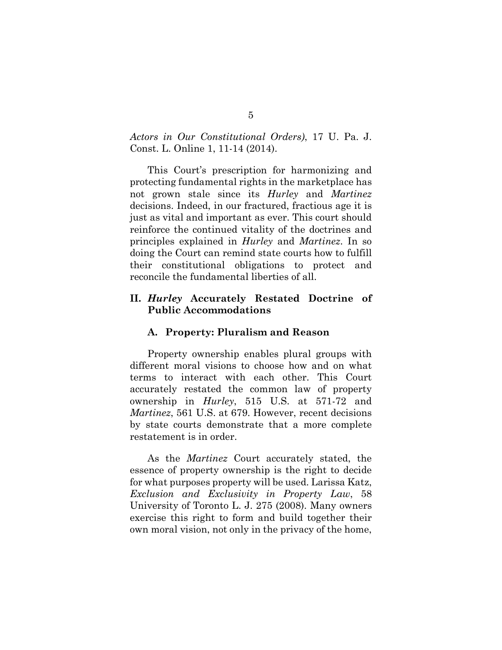*Actors in Our Constitutional Orders)*, 17 U. Pa. J. Const. L. Online 1, 11-14 (2014).

This Court's prescription for harmonizing and protecting fundamental rights in the marketplace has not grown stale since its *Hurley* and *Martinez* decisions. Indeed, in our fractured, fractious age it is just as vital and important as ever. This court should reinforce the continued vitality of the doctrines and principles explained in *Hurley* and *Martinez*. In so doing the Court can remind state courts how to fulfill their constitutional obligations to protect and reconcile the fundamental liberties of all.

## <span id="page-12-0"></span>**II.** *Hurley* **Accurately Restated Doctrine of Public Accommodations**

#### <span id="page-12-1"></span>**A. Property: Pluralism and Reason**

Property ownership enables plural groups with different moral visions to choose how and on what terms to interact with each other. This Court accurately restated the common law of property ownership in *Hurley*, 515 U.S. at 571-72 and *Martinez*, 561 U.S. at 679. However, recent decisions by state courts demonstrate that a more complete restatement is in order.

As the *Martinez* Court accurately stated, the essence of property ownership is the right to decide for what purposes property will be used. Larissa Katz, *Exclusion and Exclusivity in Property Law*, 58 University of Toronto L. J. 275 (2008). Many owners exercise this right to form and build together their own moral vision, not only in the privacy of the home,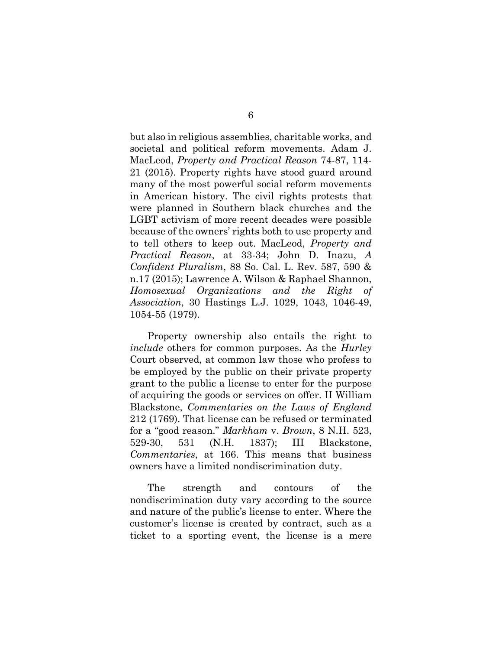but also in religious assemblies, charitable works, and societal and political reform movements. Adam J. MacLeod, *Property and Practical Reason* 74-87, 114- 21 (2015). Property rights have stood guard around many of the most powerful social reform movements in American history. The civil rights protests that were planned in Southern black churches and the LGBT activism of more recent decades were possible because of the owners' rights both to use property and to tell others to keep out. MacLeod, *Property and Practical Reason*, at 33-34; John D. Inazu, *A Confident Pluralism*, 88 So. Cal. L. Rev. 587, 590 & n.17 (2015); Lawrence A. Wilson & Raphael Shannon, *Homosexual Organizations and the Right of Association*, 30 Hastings L.J. 1029, 1043, 1046-49, 1054-55 (1979).

Property ownership also entails the right to *include* others for common purposes. As the *Hurley* Court observed, at common law those who profess to be employed by the public on their private property grant to the public a license to enter for the purpose of acquiring the goods or services on offer. II William Blackstone, *Commentaries on the Laws of England* 212 (1769). That license can be refused or terminated for a "good reason." *Markham* v. *Brown*, 8 N.H. 523, 529-30, 531 (N.H. 1837); III Blackstone, *Commentaries*, at 166. This means that business owners have a limited nondiscrimination duty.

The strength and contours of the nondiscrimination duty vary according to the source and nature of the public's license to enter. Where the customer's license is created by contract, such as a ticket to a sporting event, the license is a mere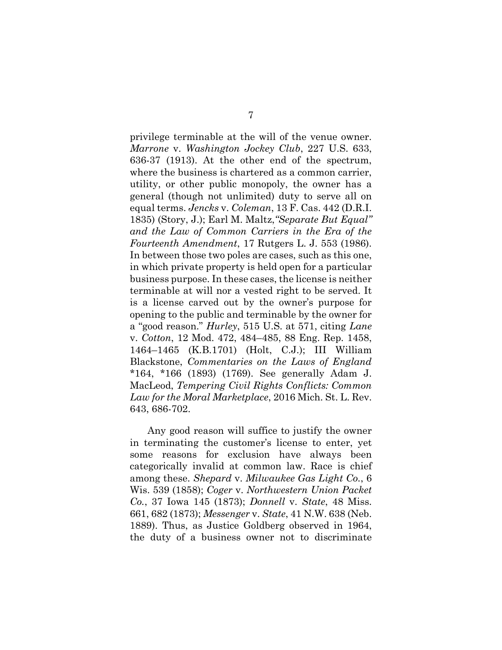privilege terminable at the will of the venue owner. *Marrone* v. *Washington Jockey Club*, 227 U.S. 633, 636-37 (1913). At the other end of the spectrum, where the business is chartered as a common carrier, utility, or other public monopoly, the owner has a general (though not unlimited) duty to serve all on equal terms. *Jencks* v. *Coleman*, 13 F. Cas. 442 (D.R.I. 1835) (Story, J.); Earl M. Maltz,*"Separate But Equal" and the Law of Common Carriers in the Era of the Fourteenth Amendment*, 17 Rutgers L. J. 553 (1986). In between those two poles are cases, such as this one, in which private property is held open for a particular business purpose. In these cases, the license is neither terminable at will nor a vested right to be served. It is a license carved out by the owner's purpose for opening to the public and terminable by the owner for a "good reason." *Hurley*, 515 U.S. at 571, citing *Lane* v. *Cotton*, 12 Mod. 472, 484–485, 88 Eng. Rep. 1458, 1464–1465 (K.B.1701) (Holt, C.J.); III William Blackstone, *Commentaries on the Laws of England* \*164, \*166 (1893) (1769). See generally Adam J. MacLeod, *Tempering Civil Rights Conflicts: Common Law for the Moral Marketplace*, 2016 Mich. St. L. Rev. 643, 686-702.

Any good reason will suffice to justify the owner in terminating the customer's license to enter, yet some reasons for exclusion have always been categorically invalid at common law. Race is chief among these. *Shepard* v. *Milwaukee Gas Light Co.*, 6 Wis. 539 (1858); *Coger* v. *Northwestern Union Packet Co.*, 37 Iowa 145 (1873); *Donnell* v. *State*, 48 Miss. 661, 682 (1873); *Messenger* v. *State*, 41 N.W. 638 (Neb. 1889). Thus, as Justice Goldberg observed in 1964, the duty of a business owner not to discriminate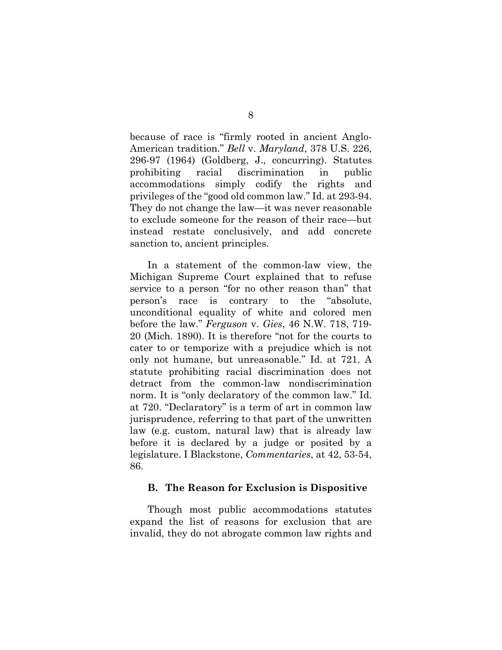because of race is "firmly rooted in ancient Anglo-American tradition." *Bell* v. *Maryland*, 378 U.S. 226, 296-97 (1964) (Goldberg, J., concurring). Statutes prohibiting racial discrimination in public accommodations simply codify the rights and privileges of the "good old common law." Id. at 293-94. They do not change the law—it was never reasonable to exclude someone for the reason of their race—but instead restate conclusively, and add concrete sanction to, ancient principles.

In a statement of the common-law view, the Michigan Supreme Court explained that to refuse service to a person "for no other reason than" that person's race is contrary to the "absolute, unconditional equality of white and colored men before the law." *Ferguson* v. *Gies*, 46 N.W. 718, 719- 20 (Mich. 1890). It is therefore "not for the courts to cater to or temporize with a prejudice which is not only not humane, but unreasonable." Id. at 721. A statute prohibiting racial discrimination does not detract from the common-law nondiscrimination norm. It is "only declaratory of the common law." Id. at 720. "Declaratory" is a term of art in common law jurisprudence, referring to that part of the unwritten law (e.g. custom, natural law) that is already law before it is declared by a judge or posited by a legislature. I Blackstone, *Commentaries*, at 42, 53-54, 86.

### <span id="page-15-0"></span>**B. The Reason for Exclusion is Dispositive**

Though most public accommodations statutes expand the list of reasons for exclusion that are invalid, they do not abrogate common law rights and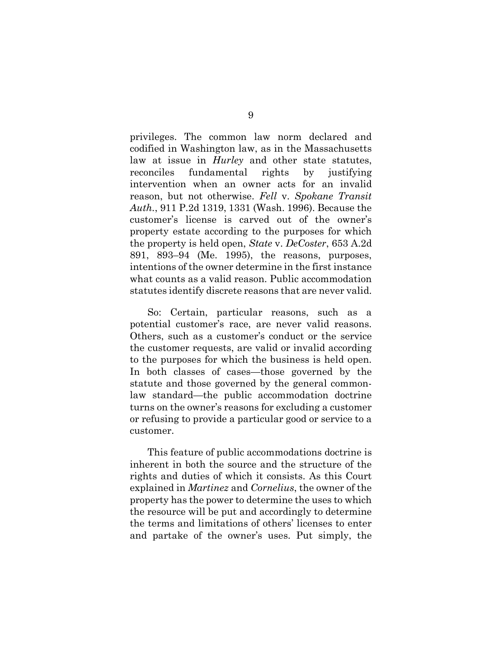privileges. The common law norm declared and codified in Washington law, as in the Massachusetts law at issue in *Hurley* and other state statutes, reconciles fundamental rights by justifying intervention when an owner acts for an invalid reason, but not otherwise. *Fell* v. *Spokane Transit Auth.*, 911 P.2d 1319, 1331 (Wash. 1996). Because the customer's license is carved out of the owner's property estate according to the purposes for which the property is held open, *State* v. *DeCoster*, 653 A.2d 891, 893–94 (Me. 1995), the reasons, purposes, intentions of the owner determine in the first instance what counts as a valid reason. Public accommodation statutes identify discrete reasons that are never valid.

So: Certain, particular reasons, such as a potential customer's race, are never valid reasons. Others, such as a customer's conduct or the service the customer requests, are valid or invalid according to the purposes for which the business is held open. In both classes of cases—those governed by the statute and those governed by the general commonlaw standard—the public accommodation doctrine turns on the owner's reasons for excluding a customer or refusing to provide a particular good or service to a customer.

This feature of public accommodations doctrine is inherent in both the source and the structure of the rights and duties of which it consists. As this Court explained in *Martinez* and *Cornelius*, the owner of the property has the power to determine the uses to which the resource will be put and accordingly to determine the terms and limitations of others' licenses to enter and partake of the owner's uses. Put simply, the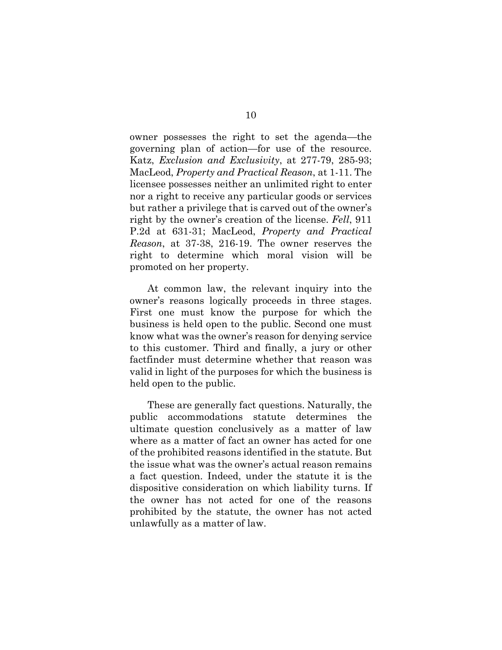owner possesses the right to set the agenda—the governing plan of action—for use of the resource. Katz, *Exclusion and Exclusivity*, at 277-79, 285-93; MacLeod, *Property and Practical Reason*, at 1-11. The licensee possesses neither an unlimited right to enter nor a right to receive any particular goods or services but rather a privilege that is carved out of the owner's right by the owner's creation of the license. *Fell*, 911 P.2d at 631-31; MacLeod, *Property and Practical Reason*, at 37-38, 216-19. The owner reserves the right to determine which moral vision will be promoted on her property.

At common law, the relevant inquiry into the owner's reasons logically proceeds in three stages. First one must know the purpose for which the business is held open to the public. Second one must know what was the owner's reason for denying service to this customer. Third and finally, a jury or other factfinder must determine whether that reason was valid in light of the purposes for which the business is held open to the public.

These are generally fact questions. Naturally, the public accommodations statute determines the ultimate question conclusively as a matter of law where as a matter of fact an owner has acted for one of the prohibited reasons identified in the statute. But the issue what was the owner's actual reason remains a fact question. Indeed, under the statute it is the dispositive consideration on which liability turns. If the owner has not acted for one of the reasons prohibited by the statute, the owner has not acted unlawfully as a matter of law.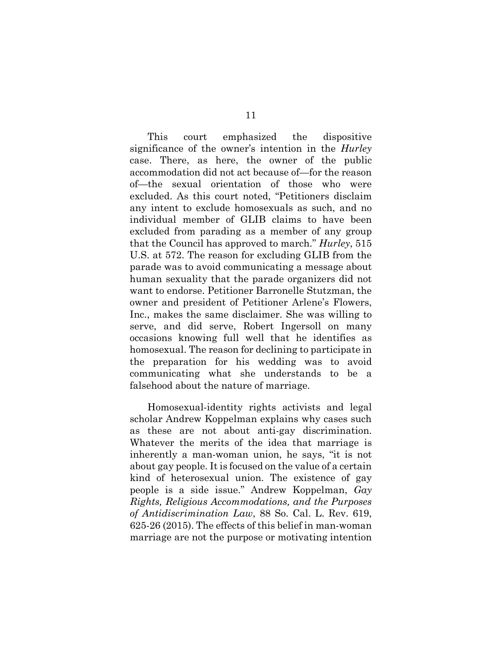This court emphasized the dispositive significance of the owner's intention in the *Hurley* case. There, as here, the owner of the public accommodation did not act because of—for the reason of—the sexual orientation of those who were excluded. As this court noted, "Petitioners disclaim any intent to exclude homosexuals as such, and no individual member of GLIB claims to have been excluded from parading as a member of any group that the Council has approved to march." *Hurley*, 515 U.S. at 572. The reason for excluding GLIB from the parade was to avoid communicating a message about human sexuality that the parade organizers did not want to endorse. Petitioner Barronelle Stutzman, the owner and president of Petitioner Arlene's Flowers, Inc., makes the same disclaimer. She was willing to serve, and did serve, Robert Ingersoll on many occasions knowing full well that he identifies as homosexual. The reason for declining to participate in the preparation for his wedding was to avoid communicating what she understands to be a falsehood about the nature of marriage.

Homosexual-identity rights activists and legal scholar Andrew Koppelman explains why cases such as these are not about anti-gay discrimination. Whatever the merits of the idea that marriage is inherently a man-woman union, he says, "it is not about gay people. It is focused on the value of a certain kind of heterosexual union. The existence of gay people is a side issue." Andrew Koppelman, *Gay Rights, Religious Accommodations, and the Purposes of Antidiscrimination Law*, 88 So. Cal. L. Rev. 619, 625-26 (2015). The effects of this belief in man-woman marriage are not the purpose or motivating intention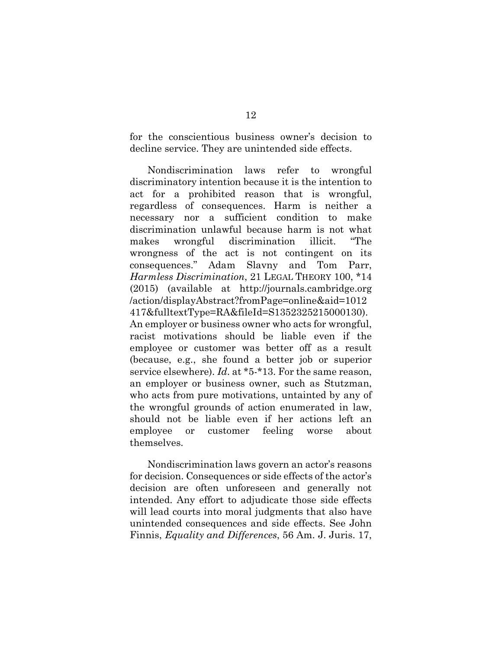for the conscientious business owner's decision to decline service. They are unintended side effects.

Nondiscrimination laws refer to wrongful discriminatory intention because it is the intention to act for a prohibited reason that is wrongful, regardless of consequences. Harm is neither a necessary nor a sufficient condition to make discrimination unlawful because harm is not what makes wrongful discrimination illicit. "The wrongness of the act is not contingent on its consequences." Adam Slavny and Tom Parr, *Harmless Discrimination*, 21 LEGAL THEORY 100, \*14 (2015) (available at http://journals.cambridge.org /action/displayAbstract?fromPage=online&aid=1012 417&fulltextType=RA&fileId=S1352325215000130). An employer or business owner who acts for wrongful, racist motivations should be liable even if the employee or customer was better off as a result (because, e.g., she found a better job or superior service elsewhere). *Id*. at \*5-\*13. For the same reason, an employer or business owner, such as Stutzman, who acts from pure motivations, untainted by any of the wrongful grounds of action enumerated in law, should not be liable even if her actions left an employee or customer feeling worse about themselves.

Nondiscrimination laws govern an actor's reasons for decision. Consequences or side effects of the actor's decision are often unforeseen and generally not intended. Any effort to adjudicate those side effects will lead courts into moral judgments that also have unintended consequences and side effects. See John Finnis, *Equality and Differences*, 56 Am. J. Juris. 17,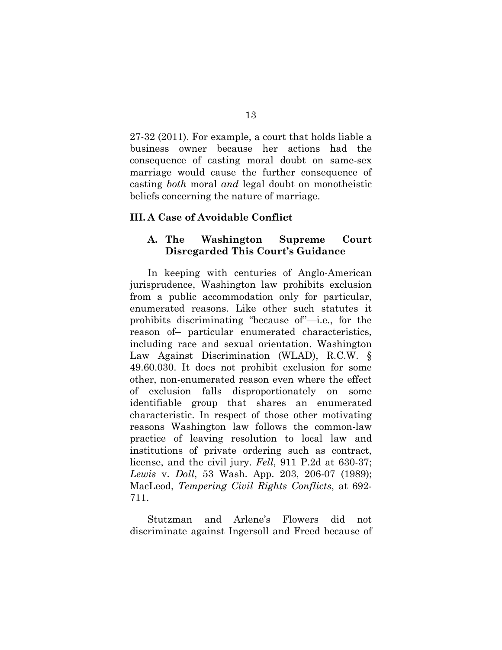27-32 (2011). For example, a court that holds liable a business owner because her actions had the consequence of casting moral doubt on same-sex marriage would cause the further consequence of casting *both* moral *and* legal doubt on monotheistic beliefs concerning the nature of marriage.

### <span id="page-20-0"></span>**III. A Case of Avoidable Conflict**

### <span id="page-20-1"></span>**A. The Washington Supreme Court Disregarded This Court's Guidance**

In keeping with centuries of Anglo-American jurisprudence, Washington law prohibits exclusion from a public accommodation only for particular, enumerated reasons. Like other such statutes it prohibits discriminating "because of"—i.e., for the reason of– particular enumerated characteristics, including race and sexual orientation. Washington Law Against Discrimination (WLAD), R.C.W. § 49.60.030. It does not prohibit exclusion for some other, non-enumerated reason even where the effect of exclusion falls disproportionately on some identifiable group that shares an enumerated characteristic. In respect of those other motivating reasons Washington law follows the common-law practice of leaving resolution to local law and institutions of private ordering such as contract, license, and the civil jury. *Fell*, 911 P.2d at 630-37; *Lewis* v. *Doll*, 53 Wash. App. 203, 206-07 (1989); MacLeod, *Tempering Civil Rights Conflicts*, at 692- 711.

Stutzman and Arlene's Flowers did not discriminate against Ingersoll and Freed because of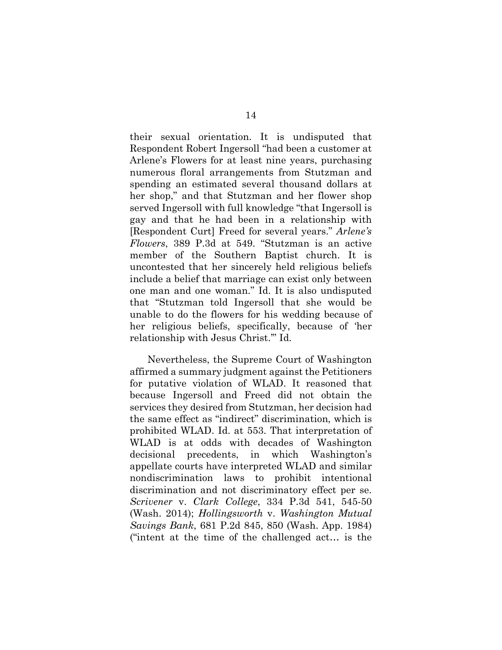their sexual orientation. It is undisputed that Respondent Robert Ingersoll "had been a customer at Arlene's Flowers for at least nine years, purchasing numerous floral arrangements from Stutzman and spending an estimated several thousand dollars at her shop," and that Stutzman and her flower shop served Ingersoll with full knowledge "that Ingersoll is gay and that he had been in a relationship with [Respondent Curt] Freed for several years." *Arlene's Flowers*, 389 P.3d at 549. "Stutzman is an active member of the Southern Baptist church. It is uncontested that her sincerely held religious beliefs include a belief that marriage can exist only between one man and one woman." Id. It is also undisputed that "Stutzman told Ingersoll that she would be unable to do the flowers for his wedding because of her religious beliefs, specifically, because of 'her relationship with Jesus Christ.'" Id.

Nevertheless, the Supreme Court of Washington affirmed a summary judgment against the Petitioners for putative violation of WLAD. It reasoned that because Ingersoll and Freed did not obtain the services they desired from Stutzman, her decision had the same effect as "indirect" discrimination, which is prohibited WLAD. Id. at 553. That interpretation of WLAD is at odds with decades of Washington decisional precedents, in which Washington's appellate courts have interpreted WLAD and similar nondiscrimination laws to prohibit intentional discrimination and not discriminatory effect per se. *Scrivener* v. *Clark College*, 334 P.3d 541, 545-50 (Wash. 2014); *Hollingsworth* v. *Washington Mutual Savings Bank*, 681 P.2d 845, 850 (Wash. App. 1984) ("intent at the time of the challenged act… is the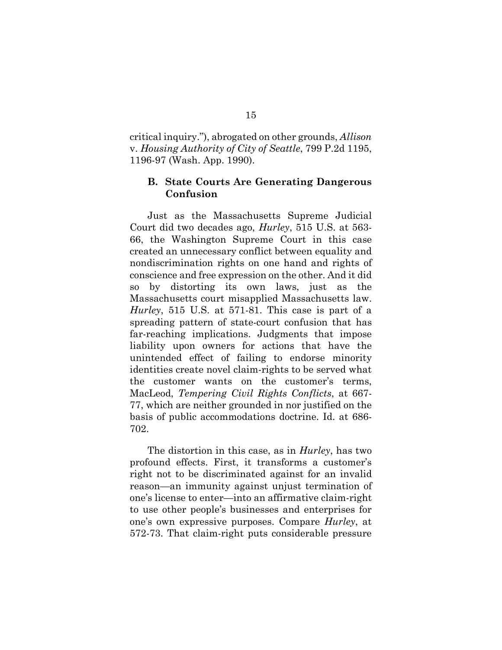critical inquiry."), abrogated on other grounds, *Allison*  v. *Housing Authority of City of Seattle*, 799 P.2d 1195, 1196-97 (Wash. App. 1990).

### <span id="page-22-0"></span>**B. State Courts Are Generating Dangerous Confusion**

Just as the Massachusetts Supreme Judicial Court did two decades ago, *Hurley*, 515 U.S. at 563- 66, the Washington Supreme Court in this case created an unnecessary conflict between equality and nondiscrimination rights on one hand and rights of conscience and free expression on the other. And it did so by distorting its own laws, just as the Massachusetts court misapplied Massachusetts law. *Hurley*, 515 U.S. at 571-81. This case is part of a spreading pattern of state-court confusion that has far-reaching implications. Judgments that impose liability upon owners for actions that have the unintended effect of failing to endorse minority identities create novel claim-rights to be served what the customer wants on the customer's terms, MacLeod, *Tempering Civil Rights Conflicts*, at 667- 77, which are neither grounded in nor justified on the basis of public accommodations doctrine. Id. at 686- 702.

The distortion in this case, as in *Hurley*, has two profound effects. First, it transforms a customer's right not to be discriminated against for an invalid reason—an immunity against unjust termination of one's license to enter—into an affirmative claim-right to use other people's businesses and enterprises for one's own expressive purposes. Compare *Hurley*, at 572-73. That claim-right puts considerable pressure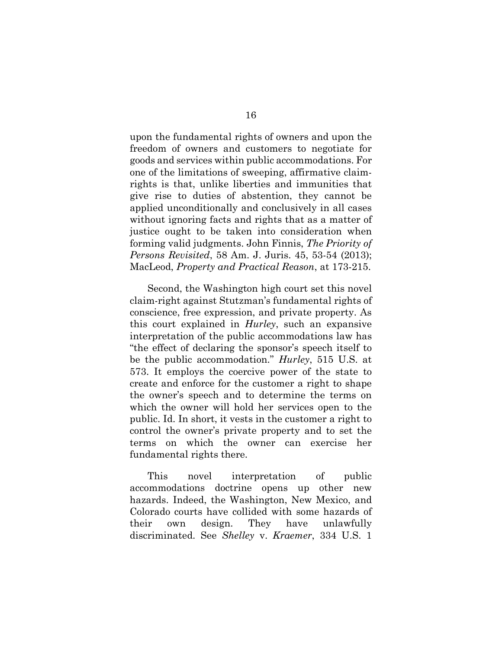upon the fundamental rights of owners and upon the freedom of owners and customers to negotiate for goods and services within public accommodations. For one of the limitations of sweeping, affirmative claimrights is that, unlike liberties and immunities that give rise to duties of abstention, they cannot be applied unconditionally and conclusively in all cases without ignoring facts and rights that as a matter of justice ought to be taken into consideration when forming valid judgments. John Finnis, *The Priority of Persons Revisited*, 58 Am. J. Juris. 45, 53-54 (2013); MacLeod, *Property and Practical Reason*, at 173-215.

Second, the Washington high court set this novel claim-right against Stutzman's fundamental rights of conscience, free expression, and private property. As this court explained in *Hurley*, such an expansive interpretation of the public accommodations law has "the effect of declaring the sponsor's speech itself to be the public accommodation." *Hurley*, 515 U.S. at 573. It employs the coercive power of the state to create and enforce for the customer a right to shape the owner's speech and to determine the terms on which the owner will hold her services open to the public. Id. In short, it vests in the customer a right to control the owner's private property and to set the terms on which the owner can exercise her fundamental rights there.

This novel interpretation of public accommodations doctrine opens up other new hazards. Indeed, the Washington, New Mexico, and Colorado courts have collided with some hazards of their own design. They have unlawfully discriminated. See *Shelley* v. *Kraemer*, 334 U.S. 1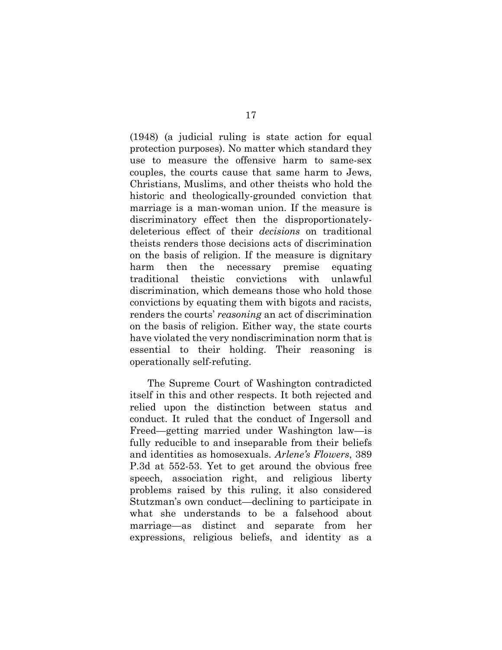(1948) (a judicial ruling is state action for equal protection purposes). No matter which standard they use to measure the offensive harm to same-sex couples, the courts cause that same harm to Jews, Christians, Muslims, and other theists who hold the historic and theologically-grounded conviction that marriage is a man-woman union. If the measure is discriminatory effect then the disproportionatelydeleterious effect of their *decisions* on traditional theists renders those decisions acts of discrimination on the basis of religion. If the measure is dignitary harm then the necessary premise equating traditional theistic convictions with unlawful discrimination, which demeans those who hold those convictions by equating them with bigots and racists, renders the courts' *reasoning* an act of discrimination on the basis of religion. Either way, the state courts have violated the very nondiscrimination norm that is essential to their holding. Their reasoning is operationally self-refuting.

The Supreme Court of Washington contradicted itself in this and other respects. It both rejected and relied upon the distinction between status and conduct. It ruled that the conduct of Ingersoll and Freed—getting married under Washington law—is fully reducible to and inseparable from their beliefs and identities as homosexuals. *Arlene's Flowers*, 389 P.3d at 552-53. Yet to get around the obvious free speech, association right, and religious liberty problems raised by this ruling, it also considered Stutzman's own conduct—declining to participate in what she understands to be a falsehood about marriage—as distinct and separate from her expressions, religious beliefs, and identity as a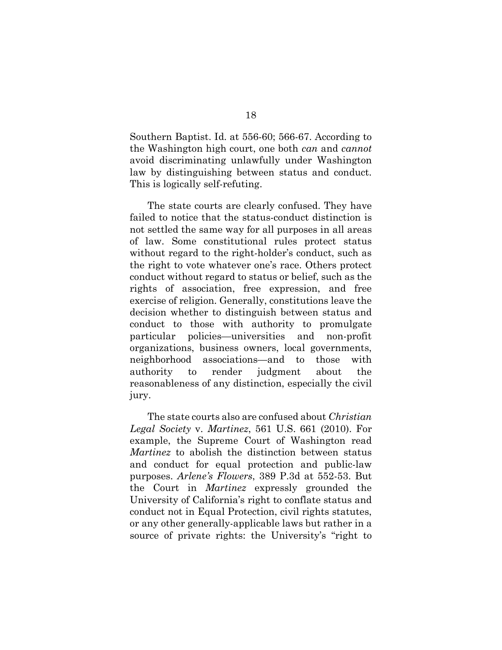Southern Baptist. Id. at 556-60; 566-67. According to the Washington high court, one both *can* and *cannot* avoid discriminating unlawfully under Washington law by distinguishing between status and conduct. This is logically self-refuting.

The state courts are clearly confused. They have failed to notice that the status-conduct distinction is not settled the same way for all purposes in all areas of law. Some constitutional rules protect status without regard to the right-holder's conduct, such as the right to vote whatever one's race. Others protect conduct without regard to status or belief, such as the rights of association, free expression, and free exercise of religion. Generally, constitutions leave the decision whether to distinguish between status and conduct to those with authority to promulgate particular policies—universities and non-profit organizations, business owners, local governments, neighborhood associations—and to those with authority to render judgment about the reasonableness of any distinction, especially the civil jury.

The state courts also are confused about *Christian Legal Society* v. *Martinez*, 561 U.S. 661 (2010). For example, the Supreme Court of Washington read *Martinez* to abolish the distinction between status and conduct for equal protection and public-law purposes. *Arlene's Flowers*, 389 P.3d at 552-53. But the Court in *Martinez* expressly grounded the University of California's right to conflate status and conduct not in Equal Protection, civil rights statutes, or any other generally-applicable laws but rather in a source of private rights: the University's "right to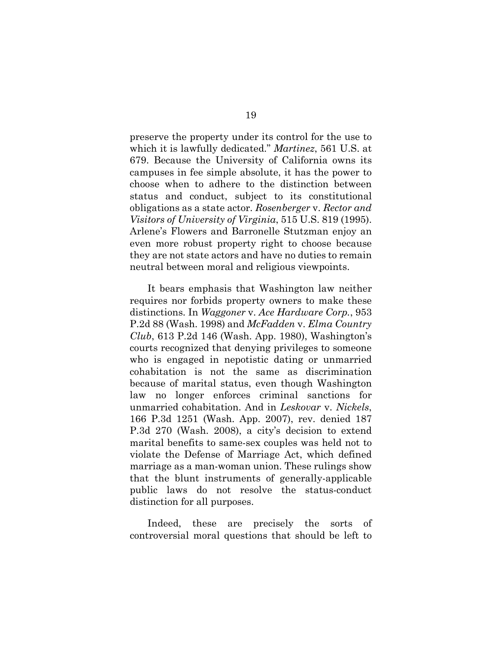preserve the property under its control for the use to which it is lawfully dedicated." *Martinez*, 561 U.S. at 679. Because the University of California owns its campuses in fee simple absolute, it has the power to choose when to adhere to the distinction between status and conduct, subject to its constitutional obligations as a state actor. *Rosenberger* v. *Rector and Visitors of University of Virginia*, 515 U.S. 819 (1995). Arlene's Flowers and Barronelle Stutzman enjoy an even more robust property right to choose because they are not state actors and have no duties to remain neutral between moral and religious viewpoints.

It bears emphasis that Washington law neither requires nor forbids property owners to make these distinctions. In *Waggoner* v. *Ace Hardware Corp.*, 953 P.2d 88 (Wash. 1998) and *McFadden* v. *Elma Country Club*, 613 P.2d 146 (Wash. App. 1980), Washington's courts recognized that denying privileges to someone who is engaged in nepotistic dating or unmarried cohabitation is not the same as discrimination because of marital status, even though Washington law no longer enforces criminal sanctions for unmarried cohabitation. And in *Leskovar* v. *Nickels*, 166 P.3d 1251 (Wash. App. 2007), rev. denied 187 P.3d 270 (Wash. 2008), a city's decision to extend marital benefits to same-sex couples was held not to violate the Defense of Marriage Act, which defined marriage as a man-woman union. These rulings show that the blunt instruments of generally-applicable public laws do not resolve the status-conduct distinction for all purposes.

Indeed, these are precisely the sorts of controversial moral questions that should be left to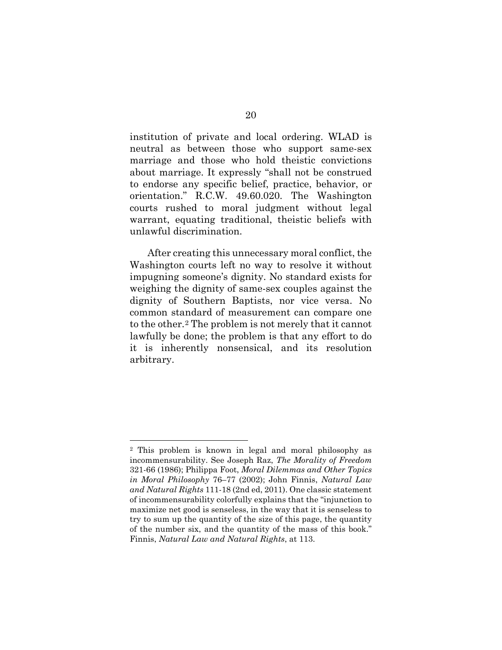institution of private and local ordering. WLAD is neutral as between those who support same-sex marriage and those who hold theistic convictions about marriage. It expressly "shall not be construed to endorse any specific belief, practice, behavior, or orientation." R.C.W. 49.60.020. The Washington courts rushed to moral judgment without legal warrant, equating traditional, theistic beliefs with unlawful discrimination.

After creating this unnecessary moral conflict, the Washington courts left no way to resolve it without impugning someone's dignity. No standard exists for weighing the dignity of same-sex couples against the dignity of Southern Baptists, nor vice versa. No common standard of measurement can compare one to the other.[2](#page-27-0) The problem is not merely that it cannot lawfully be done; the problem is that any effort to do it is inherently nonsensical, and its resolution arbitrary.

<span id="page-27-0"></span> <sup>2</sup> This problem is known in legal and moral philosophy as incommensurability. See Joseph Raz, *The Morality of Freedom* 321-66 (1986); Philippa Foot, *Moral Dilemmas and Other Topics in Moral Philosophy* 76–77 (2002); John Finnis, *Natural Law and Natural Rights* 111-18 (2nd ed, 2011). One classic statement of incommensurability colorfully explains that the "injunction to maximize net good is senseless, in the way that it is senseless to try to sum up the quantity of the size of this page, the quantity of the number six, and the quantity of the mass of this book." Finnis, *Natural Law and Natural Rights*, at 113.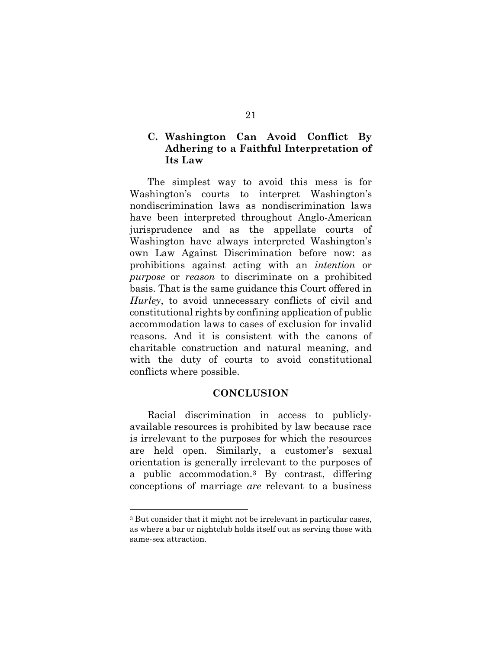## <span id="page-28-0"></span>**C. Washington Can Avoid Conflict By Adhering to a Faithful Interpretation of Its Law**

The simplest way to avoid this mess is for Washington's courts to interpret Washington's nondiscrimination laws as nondiscrimination laws have been interpreted throughout Anglo-American jurisprudence and as the appellate courts of Washington have always interpreted Washington's own Law Against Discrimination before now: as prohibitions against acting with an *intention* or *purpose* or *reason* to discriminate on a prohibited basis. That is the same guidance this Court offered in *Hurley*, to avoid unnecessary conflicts of civil and constitutional rights by confining application of public accommodation laws to cases of exclusion for invalid reasons. And it is consistent with the canons of charitable construction and natural meaning, and with the duty of courts to avoid constitutional conflicts where possible.

### **CONCLUSION**

<span id="page-28-1"></span>Racial discrimination in access to publiclyavailable resources is prohibited by law because race is irrelevant to the purposes for which the resources are held open. Similarly, a customer's sexual orientation is generally irrelevant to the purposes of a public accommodation.[3](#page-28-2) By contrast, differing conceptions of marriage *are* relevant to a business

<span id="page-28-2"></span> <sup>3</sup> But consider that it might not be irrelevant in particular cases, as where a bar or nightclub holds itself out as serving those with same-sex attraction.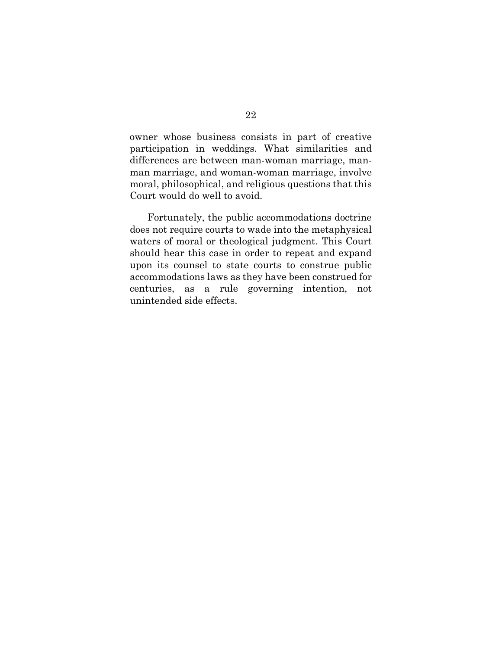owner whose business consists in part of creative participation in weddings. What similarities and differences are between man-woman marriage, manman marriage, and woman-woman marriage, involve moral, philosophical, and religious questions that this Court would do well to avoid.

Fortunately, the public accommodations doctrine does not require courts to wade into the metaphysical waters of moral or theological judgment. This Court should hear this case in order to repeat and expand upon its counsel to state courts to construe public accommodations laws as they have been construed for centuries, as a rule governing intention, not unintended side effects.